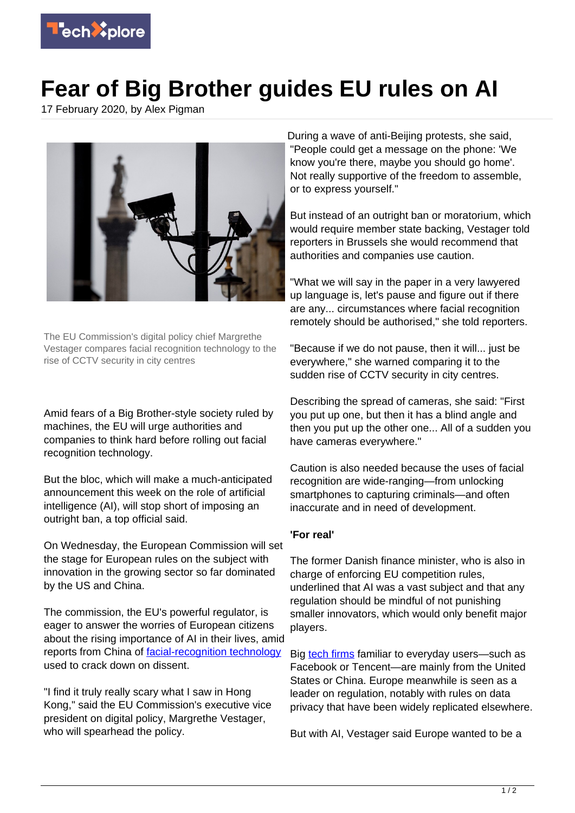

## **Fear of Big Brother guides EU rules on AI**

17 February 2020, by Alex Pigman



The EU Commission's digital policy chief Margrethe Vestager compares facial recognition technology to the rise of CCTV security in city centres

Amid fears of a Big Brother-style society ruled by machines, the EU will urge authorities and companies to think hard before rolling out facial recognition technology.

But the bloc, which will make a much-anticipated announcement this week on the role of artificial intelligence (AI), will stop short of imposing an outright ban, a top official said.

On Wednesday, the European Commission will set the stage for European rules on the subject with innovation in the growing sector so far dominated by the US and China.

The commission, the EU's powerful regulator, is eager to answer the worries of European citizens about the rising importance of AI in their lives, amid reports from China of [facial-recognition technology](https://techxplore.com/tags/facial+recognition+technology/) used to crack down on dissent.

"I find it truly really scary what I saw in Hong Kong," said the EU Commission's executive vice president on digital policy, Margrethe Vestager, who will spearhead the policy.

During a wave of anti-Beijing protests, she said, "People could get a message on the phone: 'We know you're there, maybe you should go home'. Not really supportive of the freedom to assemble, or to express yourself."

But instead of an outright ban or moratorium, which would require member state backing, Vestager told reporters in Brussels she would recommend that authorities and companies use caution.

"What we will say in the paper in a very lawyered up language is, let's pause and figure out if there are any... circumstances where facial recognition remotely should be authorised," she told reporters.

"Because if we do not pause, then it will... just be everywhere," she warned comparing it to the sudden rise of CCTV security in city centres.

Describing the spread of cameras, she said: "First you put up one, but then it has a blind angle and then you put up the other one... All of a sudden you have cameras everywhere."

Caution is also needed because the uses of facial recognition are wide-ranging—from unlocking smartphones to capturing criminals—and often inaccurate and in need of development.

## **'For real'**

The former Danish finance minister, who is also in charge of enforcing EU competition rules, underlined that AI was a vast subject and that any regulation should be mindful of not punishing smaller innovators, which would only benefit major players.

Big [tech firms](https://techxplore.com/tags/tech+firms/) familiar to everyday users—such as Facebook or Tencent—are mainly from the United States or China. Europe meanwhile is seen as a leader on regulation, notably with rules on data privacy that have been widely replicated elsewhere.

But with AI, Vestager said Europe wanted to be a